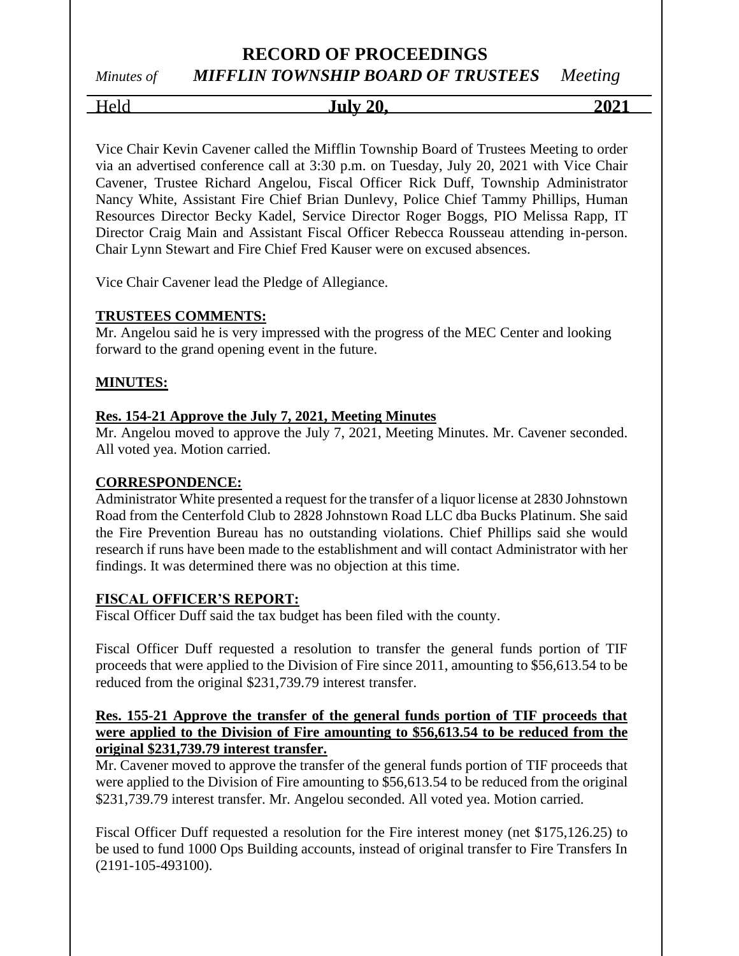## *Minutes of MIFFLIN TOWNSHIP BOARD OF TRUSTEES Meeting*

Held **July 20, 2021**

Vice Chair Kevin Cavener called the Mifflin Township Board of Trustees Meeting to order via an advertised conference call at 3:30 p.m. on Tuesday, July 20, 2021 with Vice Chair Cavener, Trustee Richard Angelou, Fiscal Officer Rick Duff, Township Administrator Nancy White, Assistant Fire Chief Brian Dunlevy, Police Chief Tammy Phillips, Human Resources Director Becky Kadel, Service Director Roger Boggs, PIO Melissa Rapp, IT Director Craig Main and Assistant Fiscal Officer Rebecca Rousseau attending in-person. Chair Lynn Stewart and Fire Chief Fred Kauser were on excused absences.

Vice Chair Cavener lead the Pledge of Allegiance.

## **TRUSTEES COMMENTS:**

Mr. Angelou said he is very impressed with the progress of the MEC Center and looking forward to the grand opening event in the future.

## **MINUTES:**

## **Res. 154-21 Approve the July 7, 2021, Meeting Minutes**

Mr. Angelou moved to approve the July 7, 2021, Meeting Minutes. Mr. Cavener seconded. All voted yea. Motion carried.

## **CORRESPONDENCE:**

Administrator White presented a request for the transfer of a liquor license at 2830 Johnstown Road from the Centerfold Club to 2828 Johnstown Road LLC dba Bucks Platinum. She said the Fire Prevention Bureau has no outstanding violations. Chief Phillips said she would research if runs have been made to the establishment and will contact Administrator with her findings. It was determined there was no objection at this time.

## **FISCAL OFFICER'S REPORT:**

Fiscal Officer Duff said the tax budget has been filed with the county.

Fiscal Officer Duff requested a resolution to transfer the general funds portion of TIF proceeds that were applied to the Division of Fire since 2011, amounting to \$56,613.54 to be reduced from the original \$231,739.79 interest transfer.

## **Res. 155-21 Approve the transfer of the general funds portion of TIF proceeds that were applied to the Division of Fire amounting to \$56,613.54 to be reduced from the original \$231,739.79 interest transfer.**

Mr. Cavener moved to approve the transfer of the general funds portion of TIF proceeds that were applied to the Division of Fire amounting to \$56,613.54 to be reduced from the original \$231,739.79 interest transfer. Mr. Angelou seconded. All voted yea. Motion carried.

Fiscal Officer Duff requested a resolution for the Fire interest money (net \$175,126.25) to be used to fund 1000 Ops Building accounts, instead of original transfer to Fire Transfers In (2191-105-493100).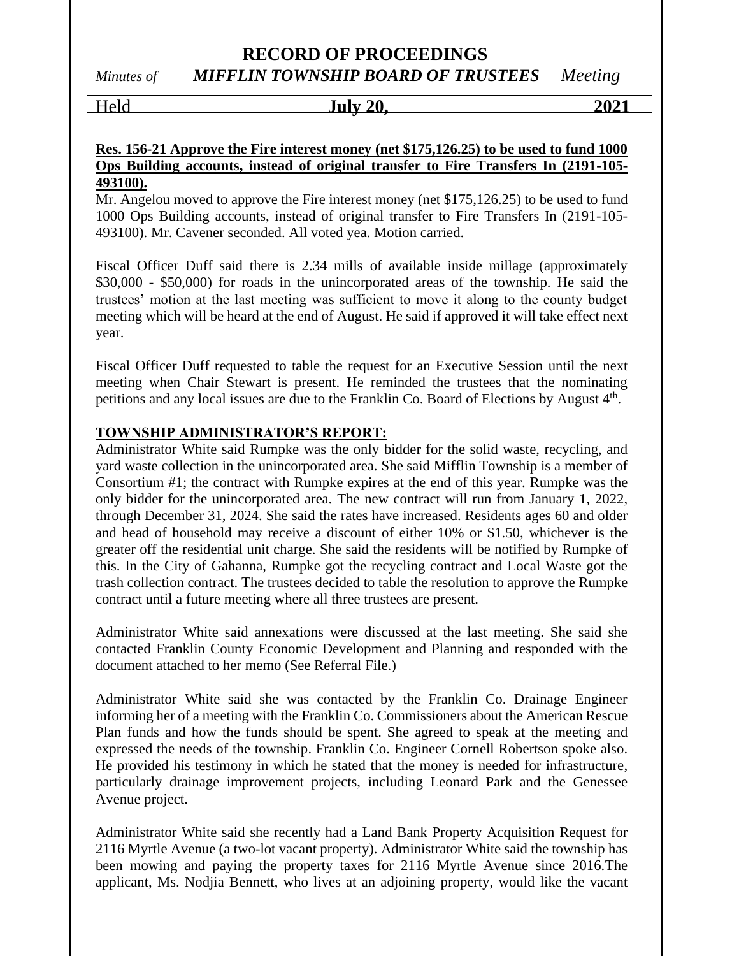## Held **July 20, 2021**

#### **Res. 156-21 Approve the Fire interest money (net \$175,126.25) to be used to fund 1000 Ops Building accounts, instead of original transfer to Fire Transfers In (2191-105- 493100).**

Mr. Angelou moved to approve the Fire interest money (net \$175,126.25) to be used to fund 1000 Ops Building accounts, instead of original transfer to Fire Transfers In (2191-105- 493100). Mr. Cavener seconded. All voted yea. Motion carried.

Fiscal Officer Duff said there is 2.34 mills of available inside millage (approximately \$30,000 - \$50,000) for roads in the unincorporated areas of the township. He said the trustees' motion at the last meeting was sufficient to move it along to the county budget meeting which will be heard at the end of August. He said if approved it will take effect next year.

Fiscal Officer Duff requested to table the request for an Executive Session until the next meeting when Chair Stewart is present. He reminded the trustees that the nominating petitions and any local issues are due to the Franklin Co. Board of Elections by August 4<sup>th</sup>.

## **TOWNSHIP ADMINISTRATOR'S REPORT:**

Administrator White said Rumpke was the only bidder for the solid waste, recycling, and yard waste collection in the unincorporated area. She said Mifflin Township is a member of Consortium #1; the contract with Rumpke expires at the end of this year. Rumpke was the only bidder for the unincorporated area. The new contract will run from January 1, 2022, through December 31, 2024. She said the rates have increased. Residents ages 60 and older and head of household may receive a discount of either 10% or \$1.50, whichever is the greater off the residential unit charge. She said the residents will be notified by Rumpke of this. In the City of Gahanna, Rumpke got the recycling contract and Local Waste got the trash collection contract. The trustees decided to table the resolution to approve the Rumpke contract until a future meeting where all three trustees are present.

Administrator White said annexations were discussed at the last meeting. She said she contacted Franklin County Economic Development and Planning and responded with the document attached to her memo (See Referral File.)

Administrator White said she was contacted by the Franklin Co. Drainage Engineer informing her of a meeting with the Franklin Co. Commissioners about the American Rescue Plan funds and how the funds should be spent. She agreed to speak at the meeting and expressed the needs of the township. Franklin Co. Engineer Cornell Robertson spoke also. He provided his testimony in which he stated that the money is needed for infrastructure, particularly drainage improvement projects, including Leonard Park and the Genessee Avenue project.

Administrator White said she recently had a Land Bank Property Acquisition Request for 2116 Myrtle Avenue (a two-lot vacant property). Administrator White said the township has been mowing and paying the property taxes for 2116 Myrtle Avenue since 2016.The applicant, Ms. Nodjia Bennett, who lives at an adjoining property, would like the vacant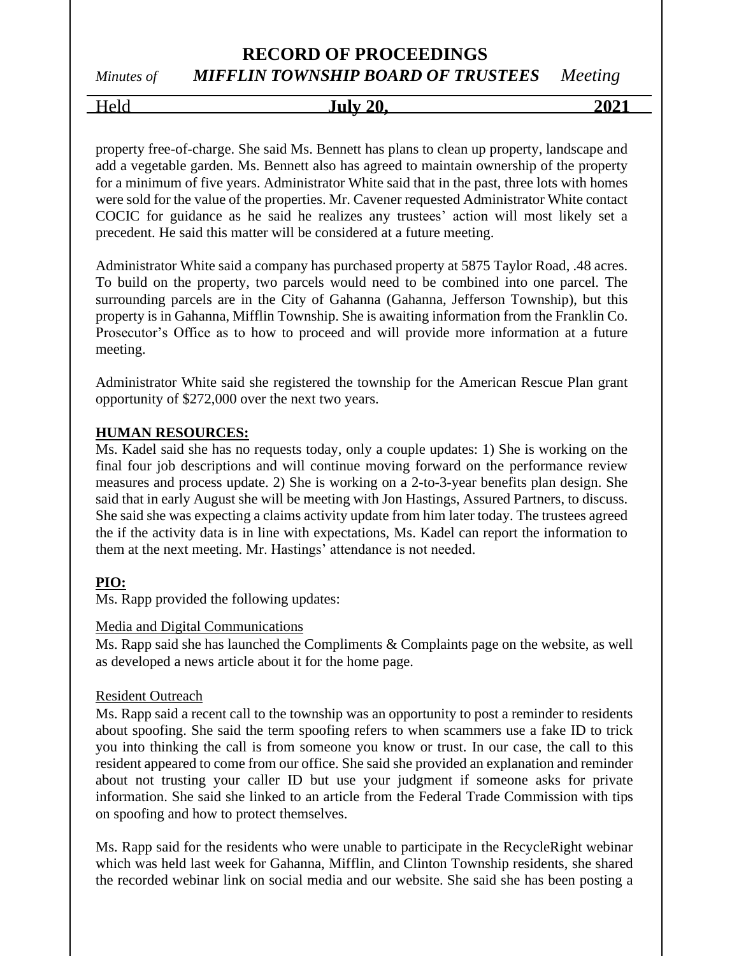*Minutes of MIFFLIN TOWNSHIP BOARD OF TRUSTEES Meeting*

Held **July 20, 2021**

property free-of-charge. She said Ms. Bennett has plans to clean up property, landscape and add a vegetable garden. Ms. Bennett also has agreed to maintain ownership of the property for a minimum of five years. Administrator White said that in the past, three lots with homes were sold for the value of the properties. Mr. Cavener requested Administrator White contact COCIC for guidance as he said he realizes any trustees' action will most likely set a precedent. He said this matter will be considered at a future meeting.

Administrator White said a company has purchased property at 5875 Taylor Road, .48 acres. To build on the property, two parcels would need to be combined into one parcel. The surrounding parcels are in the City of Gahanna (Gahanna, Jefferson Township), but this property is in Gahanna, Mifflin Township. She is awaiting information from the Franklin Co. Prosecutor's Office as to how to proceed and will provide more information at a future meeting.

Administrator White said she registered the township for the American Rescue Plan grant opportunity of \$272,000 over the next two years.

## **HUMAN RESOURCES:**

Ms. Kadel said she has no requests today, only a couple updates: 1) She is working on the final four job descriptions and will continue moving forward on the performance review measures and process update. 2) She is working on a 2-to-3-year benefits plan design. She said that in early August she will be meeting with Jon Hastings, Assured Partners, to discuss. She said she was expecting a claims activity update from him later today. The trustees agreed the if the activity data is in line with expectations, Ms. Kadel can report the information to them at the next meeting. Mr. Hastings' attendance is not needed.

## **PIO:**

Ms. Rapp provided the following updates:

#### Media and Digital Communications

Ms. Rapp said she has launched the Compliments & Complaints page on the website, as well as developed a news article about it for the home page.

## Resident Outreach

Ms. Rapp said a recent call to the township was an opportunity to post a reminder to residents about spoofing. She said the term spoofing refers to when scammers use a fake ID to trick you into thinking the call is from someone you know or trust. In our case, the call to this resident appeared to come from our office. She said she provided an explanation and reminder about not trusting your caller ID but use your judgment if someone asks for private information. She said she linked to an article from the Federal Trade Commission with tips on spoofing and how to protect themselves.

Ms. Rapp said for the residents who were unable to participate in the RecycleRight webinar which was held last week for Gahanna, Mifflin, and Clinton Township residents, she shared the recorded webinar link on social media and our website. She said she has been posting a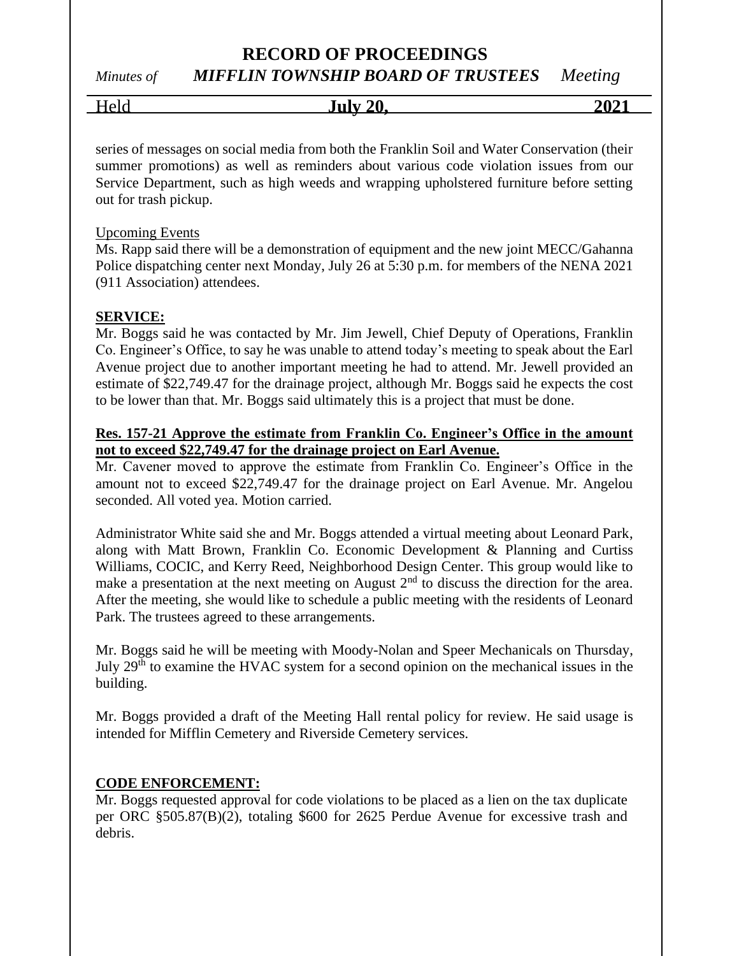*Minutes of MIFFLIN TOWNSHIP BOARD OF TRUSTEES Meeting*

| $\mathbf{U}$ | July 20 | $202^{\circ}$ |
|--------------|---------|---------------|
|              |         |               |

series of messages on social media from both the Franklin Soil and Water Conservation (their summer promotions) as well as reminders about various code violation issues from our Service Department, such as high weeds and wrapping upholstered furniture before setting out for trash pickup.

#### Upcoming Events

Ms. Rapp said there will be a demonstration of equipment and the new joint MECC/Gahanna Police dispatching center next Monday, July 26 at 5:30 p.m. for members of the NENA 2021 (911 Association) attendees.

## **SERVICE:**

Mr. Boggs said he was contacted by Mr. Jim Jewell, Chief Deputy of Operations, Franklin Co. Engineer's Office, to say he was unable to attend today's meeting to speak about the Earl Avenue project due to another important meeting he had to attend. Mr. Jewell provided an estimate of \$22,749.47 for the drainage project, although Mr. Boggs said he expects the cost to be lower than that. Mr. Boggs said ultimately this is a project that must be done.

#### **Res. 157-21 Approve the estimate from Franklin Co. Engineer's Office in the amount not to exceed \$22,749.47 for the drainage project on Earl Avenue.**

Mr. Cavener moved to approve the estimate from Franklin Co. Engineer's Office in the amount not to exceed \$22,749.47 for the drainage project on Earl Avenue. Mr. Angelou seconded. All voted yea. Motion carried.

Administrator White said she and Mr. Boggs attended a virtual meeting about Leonard Park, along with Matt Brown, Franklin Co. Economic Development & Planning and Curtiss Williams, COCIC, and Kerry Reed, Neighborhood Design Center. This group would like to make a presentation at the next meeting on August  $2<sup>nd</sup>$  to discuss the direction for the area. After the meeting, she would like to schedule a public meeting with the residents of Leonard Park. The trustees agreed to these arrangements.

Mr. Boggs said he will be meeting with Moody-Nolan and Speer Mechanicals on Thursday, July 29th to examine the HVAC system for a second opinion on the mechanical issues in the building.

Mr. Boggs provided a draft of the Meeting Hall rental policy for review. He said usage is intended for Mifflin Cemetery and Riverside Cemetery services.

#### **CODE ENFORCEMENT:**

Mr. Boggs requested approval for code violations to be placed as a lien on the tax duplicate per ORC §505.87(B)(2), totaling \$600 for 2625 Perdue Avenue for excessive trash and debris.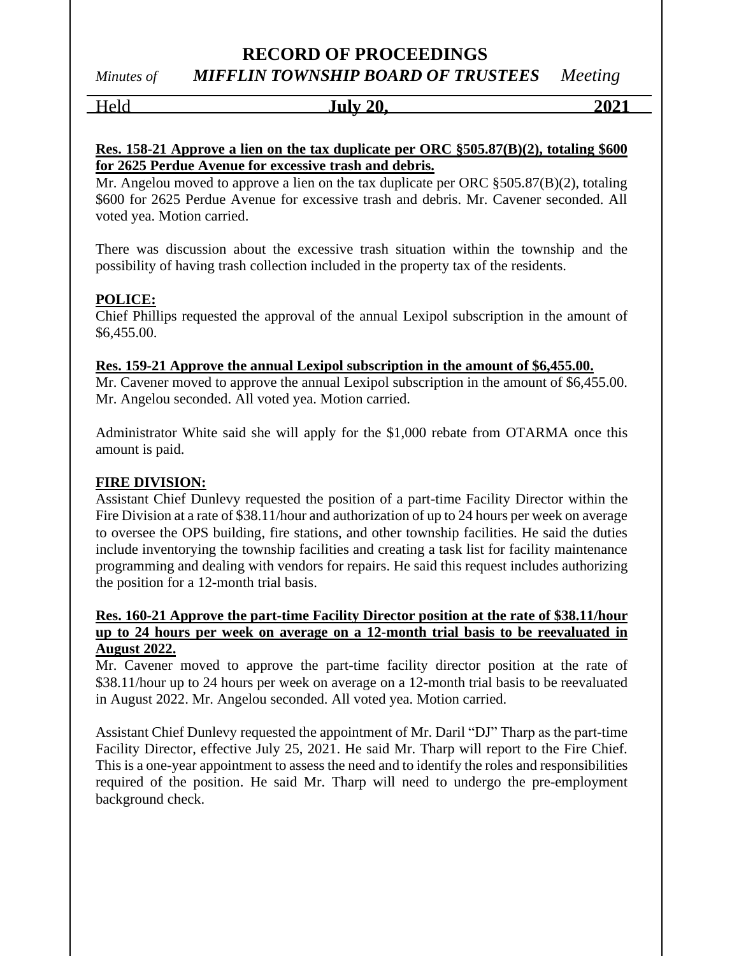Held **July 20, 2021**

#### **Res. 158-21 Approve a lien on the tax duplicate per ORC §505.87(B)(2), totaling \$600 for 2625 Perdue Avenue for excessive trash and debris.**

Mr. Angelou moved to approve a lien on the tax duplicate per ORC §505.87(B)(2), totaling \$600 for 2625 Perdue Avenue for excessive trash and debris. Mr. Cavener seconded. All voted yea. Motion carried.

There was discussion about the excessive trash situation within the township and the possibility of having trash collection included in the property tax of the residents.

## **POLICE:**

Chief Phillips requested the approval of the annual Lexipol subscription in the amount of \$6,455.00.

#### **Res. 159-21 Approve the annual Lexipol subscription in the amount of \$6,455.00.**

Mr. Cavener moved to approve the annual Lexipol subscription in the amount of \$6,455.00. Mr. Angelou seconded. All voted yea. Motion carried.

Administrator White said she will apply for the \$1,000 rebate from OTARMA once this amount is paid.

## **FIRE DIVISION:**

Assistant Chief Dunlevy requested the position of a part-time Facility Director within the Fire Division at a rate of \$38.11/hour and authorization of up to 24 hours per week on average to oversee the OPS building, fire stations, and other township facilities. He said the duties include inventorying the township facilities and creating a task list for facility maintenance programming and dealing with vendors for repairs. He said this request includes authorizing the position for a 12-month trial basis.

## **Res. 160-21 Approve the part-time Facility Director position at the rate of \$38.11/hour up to 24 hours per week on average on a 12-month trial basis to be reevaluated in August 2022.**

Mr. Cavener moved to approve the part-time facility director position at the rate of \$38.11/hour up to 24 hours per week on average on a 12-month trial basis to be reevaluated in August 2022. Mr. Angelou seconded. All voted yea. Motion carried.

Assistant Chief Dunlevy requested the appointment of Mr. Daril "DJ" Tharp as the part-time Facility Director, effective July 25, 2021. He said Mr. Tharp will report to the Fire Chief. This is a one-year appointment to assess the need and to identify the roles and responsibilities required of the position. He said Mr. Tharp will need to undergo the pre-employment background check.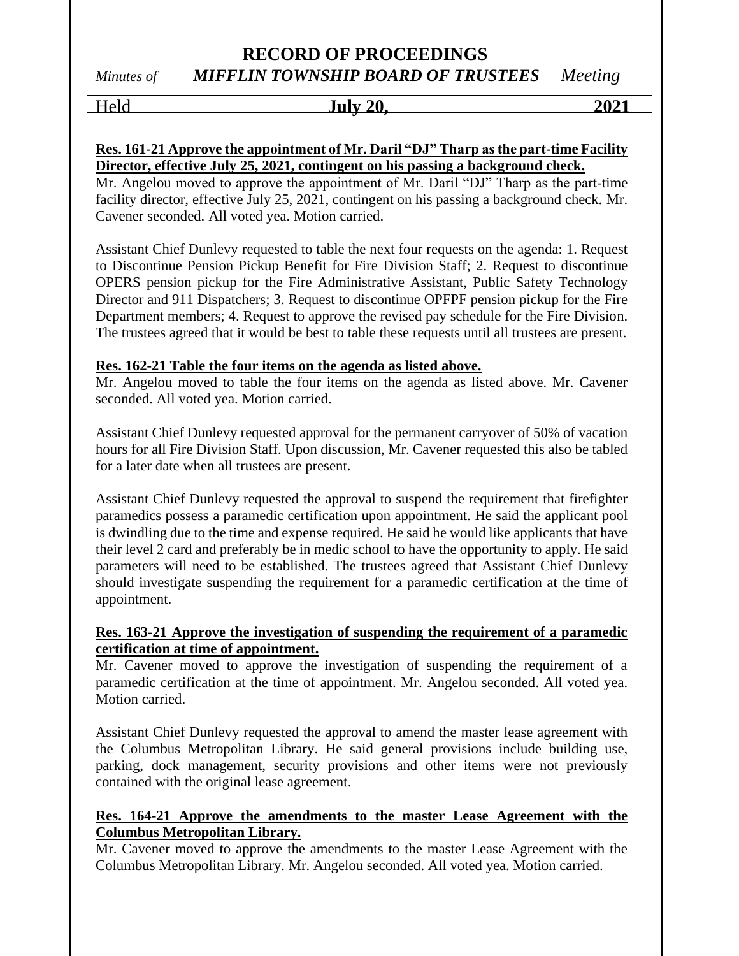Held **July 20, 2021**

## **Res. 161-21 Approve the appointment of Mr. Daril "DJ" Tharp as the part-time Facility Director, effective July 25, 2021, contingent on his passing a background check.**

Mr. Angelou moved to approve the appointment of Mr. Daril "DJ" Tharp as the part-time facility director, effective July 25, 2021, contingent on his passing a background check. Mr. Cavener seconded. All voted yea. Motion carried.

Assistant Chief Dunlevy requested to table the next four requests on the agenda: 1. Request to Discontinue Pension Pickup Benefit for Fire Division Staff; 2. Request to discontinue OPERS pension pickup for the Fire Administrative Assistant, Public Safety Technology Director and 911 Dispatchers; 3. Request to discontinue OPFPF pension pickup for the Fire Department members; 4. Request to approve the revised pay schedule for the Fire Division. The trustees agreed that it would be best to table these requests until all trustees are present.

## **Res. 162-21 Table the four items on the agenda as listed above.**

Mr. Angelou moved to table the four items on the agenda as listed above. Mr. Cavener seconded. All voted yea. Motion carried.

Assistant Chief Dunlevy requested approval for the permanent carryover of 50% of vacation hours for all Fire Division Staff. Upon discussion, Mr. Cavener requested this also be tabled for a later date when all trustees are present.

Assistant Chief Dunlevy requested the approval to suspend the requirement that firefighter paramedics possess a paramedic certification upon appointment. He said the applicant pool is dwindling due to the time and expense required. He said he would like applicants that have their level 2 card and preferably be in medic school to have the opportunity to apply. He said parameters will need to be established. The trustees agreed that Assistant Chief Dunlevy should investigate suspending the requirement for a paramedic certification at the time of appointment.

## **Res. 163-21 Approve the investigation of suspending the requirement of a paramedic certification at time of appointment.**

Mr. Cavener moved to approve the investigation of suspending the requirement of a paramedic certification at the time of appointment. Mr. Angelou seconded. All voted yea. Motion carried.

Assistant Chief Dunlevy requested the approval to amend the master lease agreement with the Columbus Metropolitan Library. He said general provisions include building use, parking, dock management, security provisions and other items were not previously contained with the original lease agreement.

## **Res. 164-21 Approve the amendments to the master Lease Agreement with the Columbus Metropolitan Library.**

Mr. Cavener moved to approve the amendments to the master Lease Agreement with the Columbus Metropolitan Library. Mr. Angelou seconded. All voted yea. Motion carried.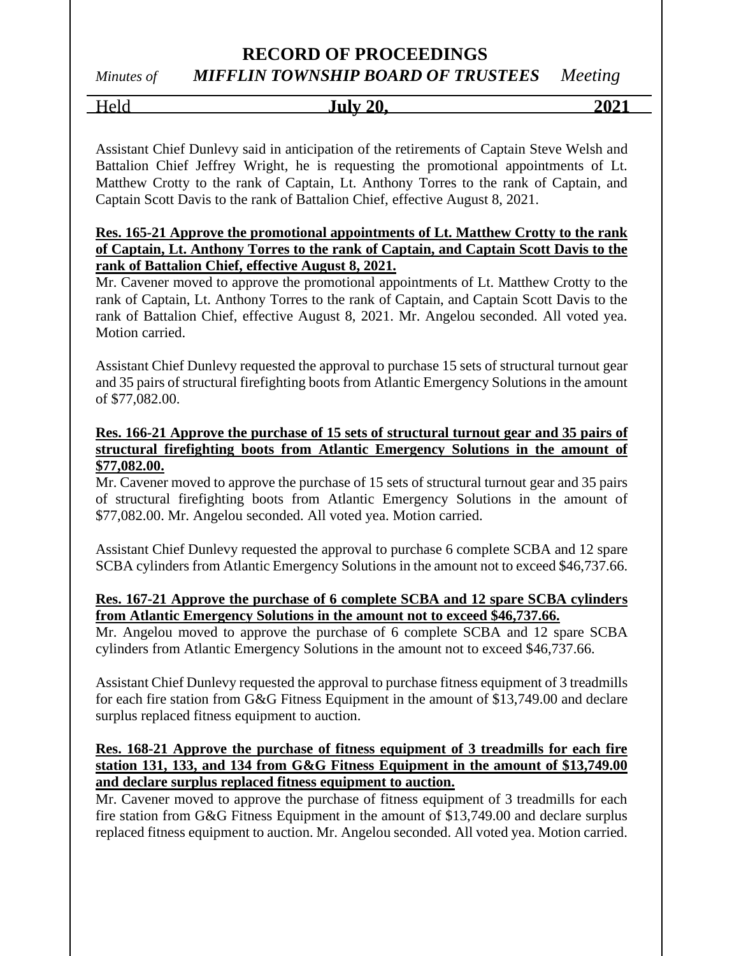## *Minutes of MIFFLIN TOWNSHIP BOARD OF TRUSTEES Meeting*

Held **July 20, 2021**

Assistant Chief Dunlevy said in anticipation of the retirements of Captain Steve Welsh and Battalion Chief Jeffrey Wright, he is requesting the promotional appointments of Lt. Matthew Crotty to the rank of Captain, Lt. Anthony Torres to the rank of Captain, and Captain Scott Davis to the rank of Battalion Chief, effective August 8, 2021.

## **Res. 165-21 Approve the promotional appointments of Lt. Matthew Crotty to the rank of Captain, Lt. Anthony Torres to the rank of Captain, and Captain Scott Davis to the rank of Battalion Chief, effective August 8, 2021.**

Mr. Cavener moved to approve the promotional appointments of Lt. Matthew Crotty to the rank of Captain, Lt. Anthony Torres to the rank of Captain, and Captain Scott Davis to the rank of Battalion Chief, effective August 8, 2021. Mr. Angelou seconded. All voted yea. Motion carried.

Assistant Chief Dunlevy requested the approval to purchase 15 sets of structural turnout gear and 35 pairs of structural firefighting boots from Atlantic Emergency Solutions in the amount of \$77,082.00.

## **Res. 166-21 Approve the purchase of 15 sets of structural turnout gear and 35 pairs of structural firefighting boots from Atlantic Emergency Solutions in the amount of \$77,082.00.**

Mr. Cavener moved to approve the purchase of 15 sets of structural turnout gear and 35 pairs of structural firefighting boots from Atlantic Emergency Solutions in the amount of \$77,082.00. Mr. Angelou seconded. All voted yea. Motion carried.

Assistant Chief Dunlevy requested the approval to purchase 6 complete SCBA and 12 spare SCBA cylinders from Atlantic Emergency Solutions in the amount not to exceed \$46,737.66.

## **Res. 167-21 Approve the purchase of 6 complete SCBA and 12 spare SCBA cylinders from Atlantic Emergency Solutions in the amount not to exceed \$46,737.66.**

Mr. Angelou moved to approve the purchase of 6 complete SCBA and 12 spare SCBA cylinders from Atlantic Emergency Solutions in the amount not to exceed \$46,737.66.

Assistant Chief Dunlevy requested the approval to purchase fitness equipment of 3 treadmills for each fire station from G&G Fitness Equipment in the amount of \$13,749.00 and declare surplus replaced fitness equipment to auction.

## **Res. 168-21 Approve the purchase of fitness equipment of 3 treadmills for each fire station 131, 133, and 134 from G&G Fitness Equipment in the amount of \$13,749.00 and declare surplus replaced fitness equipment to auction.**

Mr. Cavener moved to approve the purchase of fitness equipment of 3 treadmills for each fire station from G&G Fitness Equipment in the amount of \$13,749.00 and declare surplus replaced fitness equipment to auction. Mr. Angelou seconded. All voted yea. Motion carried.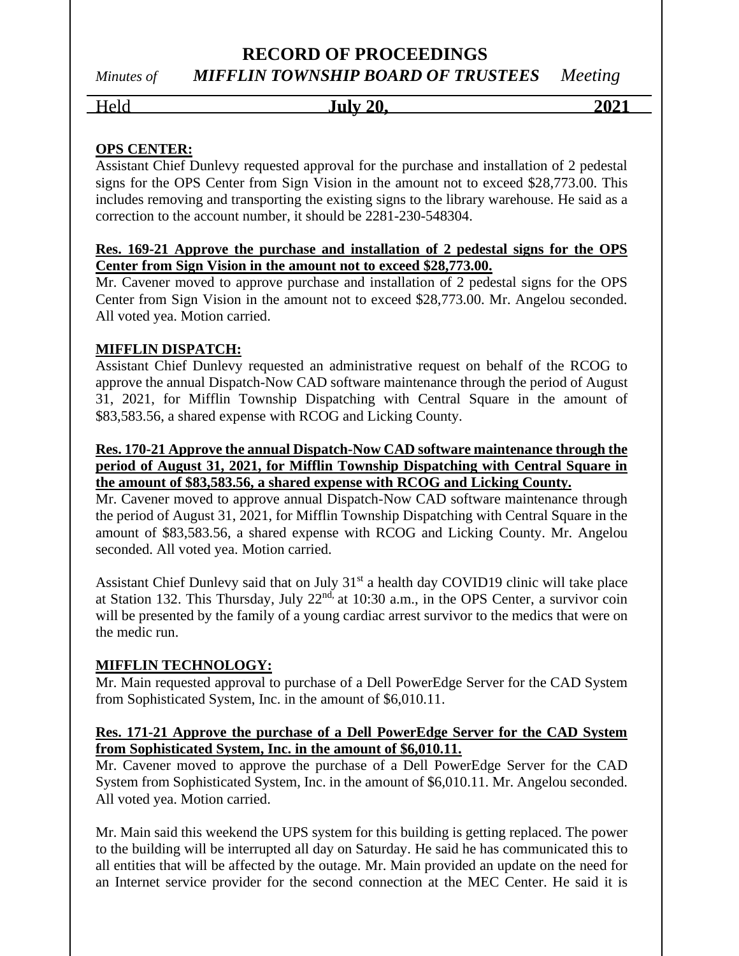## Held **July 20, 2021**

## **OPS CENTER:**

Assistant Chief Dunlevy requested approval for the purchase and installation of 2 pedestal signs for the OPS Center from Sign Vision in the amount not to exceed \$28,773.00. This includes removing and transporting the existing signs to the library warehouse. He said as a correction to the account number, it should be 2281-230-548304.

## **Res. 169-21 Approve the purchase and installation of 2 pedestal signs for the OPS Center from Sign Vision in the amount not to exceed \$28,773.00.**

Mr. Cavener moved to approve purchase and installation of 2 pedestal signs for the OPS Center from Sign Vision in the amount not to exceed \$28,773.00. Mr. Angelou seconded. All voted yea. Motion carried.

## **MIFFLIN DISPATCH:**

Assistant Chief Dunlevy requested an administrative request on behalf of the RCOG to approve the annual Dispatch-Now CAD software maintenance through the period of August 31, 2021, for Mifflin Township Dispatching with Central Square in the amount of \$83,583.56, a shared expense with RCOG and Licking County.

## **Res. 170-21 Approve the annual Dispatch-Now CAD software maintenance through the period of August 31, 2021, for Mifflin Township Dispatching with Central Square in the amount of \$83,583.56, a shared expense with RCOG and Licking County.**

Mr. Cavener moved to approve annual Dispatch-Now CAD software maintenance through the period of August 31, 2021, for Mifflin Township Dispatching with Central Square in the amount of \$83,583.56, a shared expense with RCOG and Licking County. Mr. Angelou seconded. All voted yea. Motion carried.

Assistant Chief Dunlevy said that on July 31<sup>st</sup> a health day COVID19 clinic will take place at Station 132. This Thursday, July  $22<sup>nd</sup>$  at 10:30 a.m., in the OPS Center, a survivor coin will be presented by the family of a young cardiac arrest survivor to the medics that were on the medic run.

## **MIFFLIN TECHNOLOGY:**

Mr. Main requested approval to purchase of a Dell PowerEdge Server for the CAD System from Sophisticated System, Inc. in the amount of \$6,010.11.

## **Res. 171-21 Approve the purchase of a Dell PowerEdge Server for the CAD System from Sophisticated System, Inc. in the amount of \$6,010.11.**

Mr. Cavener moved to approve the purchase of a Dell PowerEdge Server for the CAD System from Sophisticated System, Inc. in the amount of \$6,010.11. Mr. Angelou seconded. All voted yea. Motion carried.

Mr. Main said this weekend the UPS system for this building is getting replaced. The power to the building will be interrupted all day on Saturday. He said he has communicated this to all entities that will be affected by the outage. Mr. Main provided an update on the need for an Internet service provider for the second connection at the MEC Center. He said it is